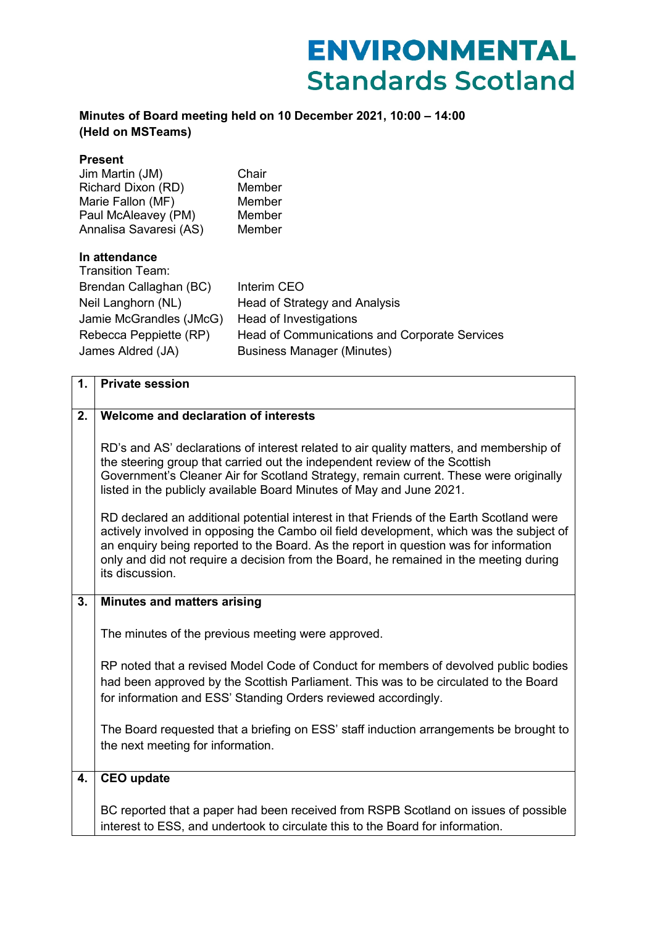## **ENVIRONMENTAL Standards Scotland**

## **Minutes of Board meeting held on 10 December 2021, 10:00 – 14:00 (Held on MSTeams)**

| <b>Present</b><br>Jim Martin (JM)<br>Richard Dixon (RD)<br>Marie Fallon (MF)<br>Paul McAleavey (PM)<br>Annalisa Savaresi (AS)                               | Chair<br>Member<br>Member<br>Member<br>Member                                                                                                                       |
|-------------------------------------------------------------------------------------------------------------------------------------------------------------|---------------------------------------------------------------------------------------------------------------------------------------------------------------------|
| In attendance<br>Transition Team:<br>Brendan Callaghan (BC)<br>Neil Langhorn (NL)<br>Jamie McGrandles (JMcG)<br>Rebecca Peppiette (RP)<br>James Aldred (JA) | Interim CEO<br>Head of Strategy and Analysis<br>Head of Investigations<br><b>Head of Communications and Corporate Services</b><br><b>Business Manager (Minutes)</b> |

| 1. | <b>Private session</b>                                                                                                                                                                                                                                                                                                                                                                  |
|----|-----------------------------------------------------------------------------------------------------------------------------------------------------------------------------------------------------------------------------------------------------------------------------------------------------------------------------------------------------------------------------------------|
| 2. | Welcome and declaration of interests                                                                                                                                                                                                                                                                                                                                                    |
|    | RD's and AS' declarations of interest related to air quality matters, and membership of<br>the steering group that carried out the independent review of the Scottish<br>Government's Cleaner Air for Scotland Strategy, remain current. These were originally<br>listed in the publicly available Board Minutes of May and June 2021.                                                  |
|    | RD declared an additional potential interest in that Friends of the Earth Scotland were<br>actively involved in opposing the Cambo oil field development, which was the subject of<br>an enquiry being reported to the Board. As the report in question was for information<br>only and did not require a decision from the Board, he remained in the meeting during<br>its discussion. |
| 3. | <b>Minutes and matters arising</b>                                                                                                                                                                                                                                                                                                                                                      |
|    | The minutes of the previous meeting were approved.                                                                                                                                                                                                                                                                                                                                      |
|    | RP noted that a revised Model Code of Conduct for members of devolved public bodies<br>had been approved by the Scottish Parliament. This was to be circulated to the Board<br>for information and ESS' Standing Orders reviewed accordingly.                                                                                                                                           |
|    | The Board requested that a briefing on ESS' staff induction arrangements be brought to<br>the next meeting for information.                                                                                                                                                                                                                                                             |
| 4. | <b>CEO</b> update                                                                                                                                                                                                                                                                                                                                                                       |
|    | BC reported that a paper had been received from RSPB Scotland on issues of possible<br>interest to ESS, and undertook to circulate this to the Board for information.                                                                                                                                                                                                                   |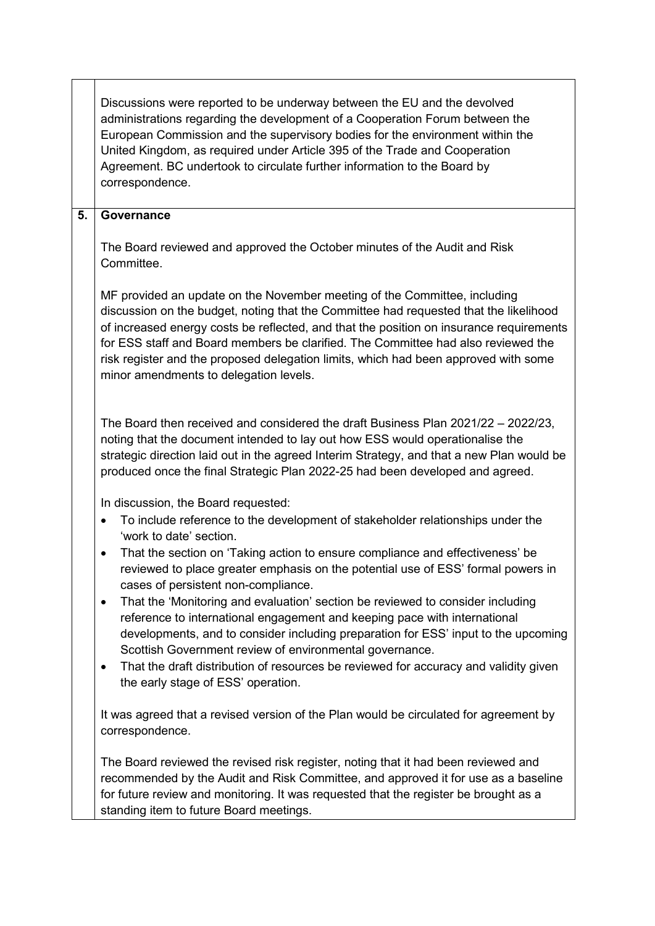|    | Discussions were reported to be underway between the EU and the devolved<br>administrations regarding the development of a Cooperation Forum between the<br>European Commission and the supervisory bodies for the environment within the<br>United Kingdom, as required under Article 395 of the Trade and Cooperation<br>Agreement. BC undertook to circulate further information to the Board by<br>correspondence.                                                              |
|----|-------------------------------------------------------------------------------------------------------------------------------------------------------------------------------------------------------------------------------------------------------------------------------------------------------------------------------------------------------------------------------------------------------------------------------------------------------------------------------------|
| 5. | Governance                                                                                                                                                                                                                                                                                                                                                                                                                                                                          |
|    | The Board reviewed and approved the October minutes of the Audit and Risk<br>Committee.                                                                                                                                                                                                                                                                                                                                                                                             |
|    | MF provided an update on the November meeting of the Committee, including<br>discussion on the budget, noting that the Committee had requested that the likelihood<br>of increased energy costs be reflected, and that the position on insurance requirements<br>for ESS staff and Board members be clarified. The Committee had also reviewed the<br>risk register and the proposed delegation limits, which had been approved with some<br>minor amendments to delegation levels. |
|    | The Board then received and considered the draft Business Plan 2021/22 - 2022/23,<br>noting that the document intended to lay out how ESS would operationalise the<br>strategic direction laid out in the agreed Interim Strategy, and that a new Plan would be<br>produced once the final Strategic Plan 2022-25 had been developed and agreed.                                                                                                                                    |
|    | In discussion, the Board requested:                                                                                                                                                                                                                                                                                                                                                                                                                                                 |
|    | To include reference to the development of stakeholder relationships under the<br>$\bullet$<br>'work to date' section.                                                                                                                                                                                                                                                                                                                                                              |
|    | That the section on 'Taking action to ensure compliance and effectiveness' be<br>$\bullet$<br>reviewed to place greater emphasis on the potential use of ESS' formal powers in<br>cases of persistent non-compliance.                                                                                                                                                                                                                                                               |
|    | That the 'Monitoring and evaluation' section be reviewed to consider including<br>$\bullet$<br>reference to international engagement and keeping pace with international<br>developments, and to consider including preparation for ESS' input to the upcoming<br>Scottish Government review of environmental governance.<br>That the draft distribution of resources be reviewed for accuracy and validity given<br>$\bullet$                                                      |
|    | the early stage of ESS' operation.                                                                                                                                                                                                                                                                                                                                                                                                                                                  |
|    | It was agreed that a revised version of the Plan would be circulated for agreement by<br>correspondence.                                                                                                                                                                                                                                                                                                                                                                            |
|    | The Board reviewed the revised risk register, noting that it had been reviewed and<br>recommended by the Audit and Risk Committee, and approved it for use as a baseline<br>for future review and monitoring. It was requested that the register be brought as a<br>standing item to future Board meetings.                                                                                                                                                                         |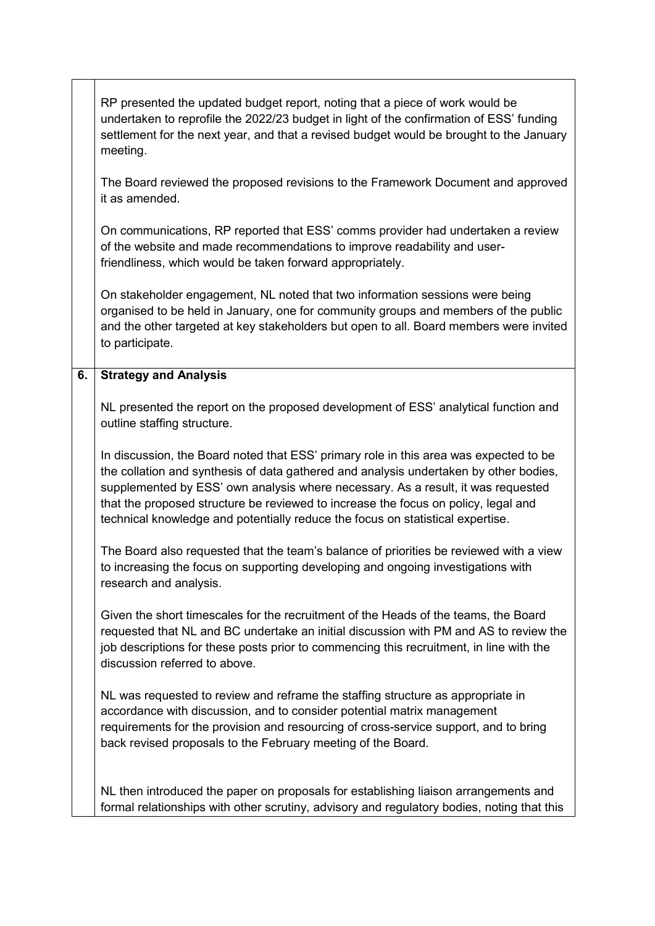|    | RP presented the updated budget report, noting that a piece of work would be<br>undertaken to reprofile the 2022/23 budget in light of the confirmation of ESS' funding<br>settlement for the next year, and that a revised budget would be brought to the January<br>meeting.                                                                                                                                                             |
|----|--------------------------------------------------------------------------------------------------------------------------------------------------------------------------------------------------------------------------------------------------------------------------------------------------------------------------------------------------------------------------------------------------------------------------------------------|
|    | The Board reviewed the proposed revisions to the Framework Document and approved<br>it as amended.                                                                                                                                                                                                                                                                                                                                         |
|    | On communications, RP reported that ESS' comms provider had undertaken a review<br>of the website and made recommendations to improve readability and user-<br>friendliness, which would be taken forward appropriately.                                                                                                                                                                                                                   |
|    | On stakeholder engagement, NL noted that two information sessions were being<br>organised to be held in January, one for community groups and members of the public<br>and the other targeted at key stakeholders but open to all. Board members were invited<br>to participate.                                                                                                                                                           |
| 6. | <b>Strategy and Analysis</b>                                                                                                                                                                                                                                                                                                                                                                                                               |
|    | NL presented the report on the proposed development of ESS' analytical function and<br>outline staffing structure.                                                                                                                                                                                                                                                                                                                         |
|    | In discussion, the Board noted that ESS' primary role in this area was expected to be<br>the collation and synthesis of data gathered and analysis undertaken by other bodies,<br>supplemented by ESS' own analysis where necessary. As a result, it was requested<br>that the proposed structure be reviewed to increase the focus on policy, legal and<br>technical knowledge and potentially reduce the focus on statistical expertise. |
|    | The Board also requested that the team's balance of priorities be reviewed with a view<br>to increasing the focus on supporting developing and ongoing investigations with<br>research and analysis.                                                                                                                                                                                                                                       |
|    | Given the short timescales for the recruitment of the Heads of the teams, the Board<br>requested that NL and BC undertake an initial discussion with PM and AS to review the<br>job descriptions for these posts prior to commencing this recruitment, in line with the<br>discussion referred to above.                                                                                                                                   |
|    | NL was requested to review and reframe the staffing structure as appropriate in<br>accordance with discussion, and to consider potential matrix management<br>requirements for the provision and resourcing of cross-service support, and to bring<br>back revised proposals to the February meeting of the Board.                                                                                                                         |
|    | NL then introduced the paper on proposals for establishing liaison arrangements and<br>formal relationships with other scrutiny, advisory and regulatory bodies, noting that this                                                                                                                                                                                                                                                          |